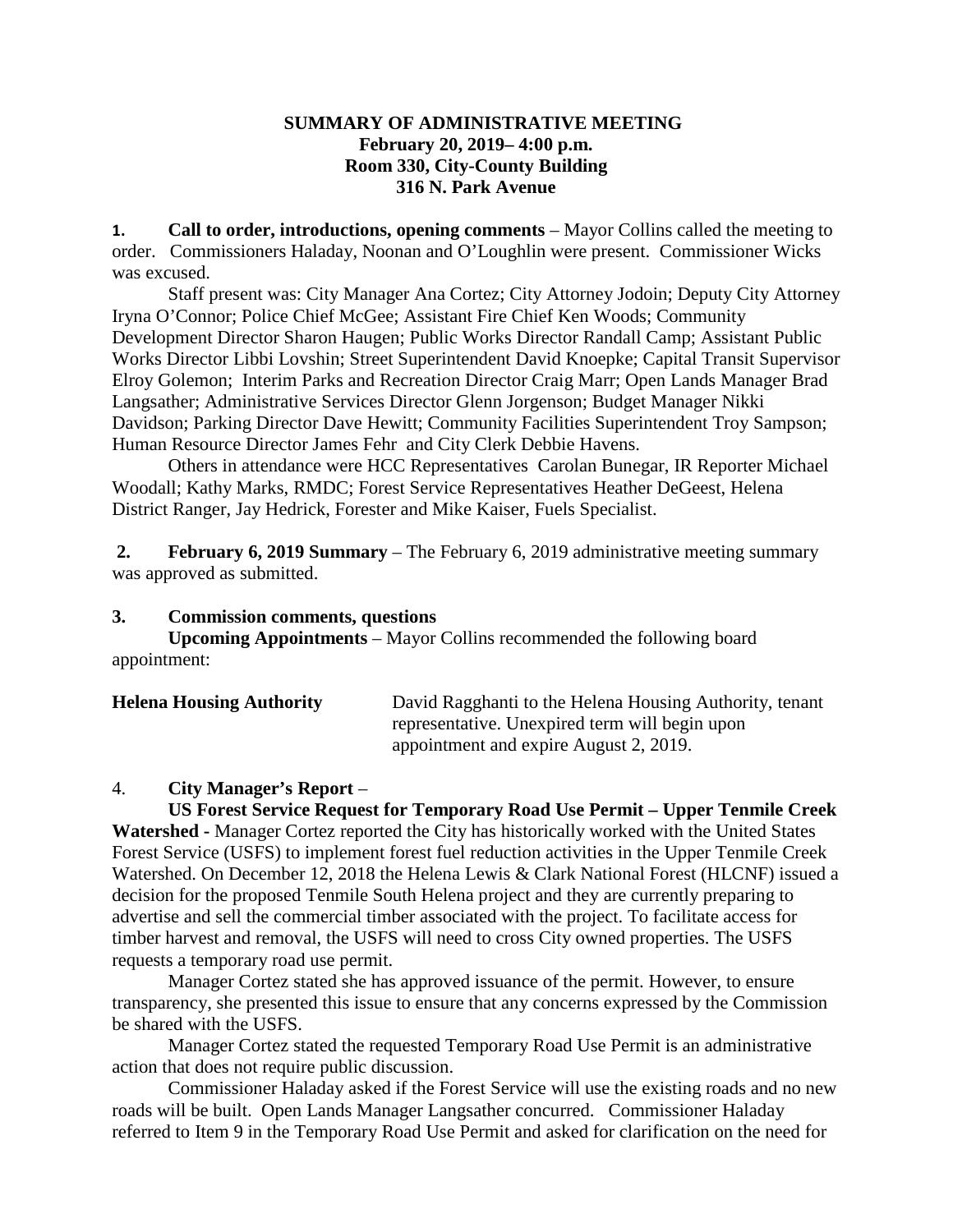### **SUMMARY OF ADMINISTRATIVE MEETING February 20, 2019– 4:00 p.m. Room 330, City-County Building 316 N. Park Avenue**

**1. Call to order, introductions, opening comments** – Mayor Collins called the meeting to order. Commissioners Haladay, Noonan and O'Loughlin were present. Commissioner Wicks was excused.

Staff present was: City Manager Ana Cortez; City Attorney Jodoin; Deputy City Attorney Iryna O'Connor; Police Chief McGee; Assistant Fire Chief Ken Woods; Community Development Director Sharon Haugen; Public Works Director Randall Camp; Assistant Public Works Director Libbi Lovshin; Street Superintendent David Knoepke; Capital Transit Supervisor Elroy Golemon; Interim Parks and Recreation Director Craig Marr; Open Lands Manager Brad Langsather; Administrative Services Director Glenn Jorgenson; Budget Manager Nikki Davidson; Parking Director Dave Hewitt; Community Facilities Superintendent Troy Sampson; Human Resource Director James Fehr and City Clerk Debbie Havens.

Others in attendance were HCC Representatives Carolan Bunegar, IR Reporter Michael Woodall; Kathy Marks, RMDC; Forest Service Representatives Heather DeGeest, Helena District Ranger, Jay Hedrick, Forester and Mike Kaiser, Fuels Specialist.

**2. February 6, 2019 Summary** – The February 6, 2019 administrative meeting summary was approved as submitted.

### **3. Commission comments, questions**

**Upcoming Appointments** – Mayor Collins recommended the following board appointment:

| <b>Helena Housing Authority</b> | David Ragghanti to the Helena Housing Authority, tenant |
|---------------------------------|---------------------------------------------------------|
|                                 | representative. Unexpired term will begin upon          |
|                                 | appointment and expire August 2, 2019.                  |

### 4. **City Manager's Report** –

**US Forest Service Request for Temporary Road Use Permit – Upper Tenmile Creek Watershed -** Manager Cortez reported the City has historically worked with the United States Forest Service (USFS) to implement forest fuel reduction activities in the Upper Tenmile Creek Watershed. On December 12, 2018 the Helena Lewis & Clark National Forest (HLCNF) issued a decision for the proposed Tenmile South Helena project and they are currently preparing to advertise and sell the commercial timber associated with the project. To facilitate access for timber harvest and removal, the USFS will need to cross City owned properties. The USFS requests a temporary road use permit.

Manager Cortez stated she has approved issuance of the permit. However, to ensure transparency, she presented this issue to ensure that any concerns expressed by the Commission be shared with the USFS.

Manager Cortez stated the requested Temporary Road Use Permit is an administrative action that does not require public discussion.

Commissioner Haladay asked if the Forest Service will use the existing roads and no new roads will be built. Open Lands Manager Langsather concurred. Commissioner Haladay referred to Item 9 in the Temporary Road Use Permit and asked for clarification on the need for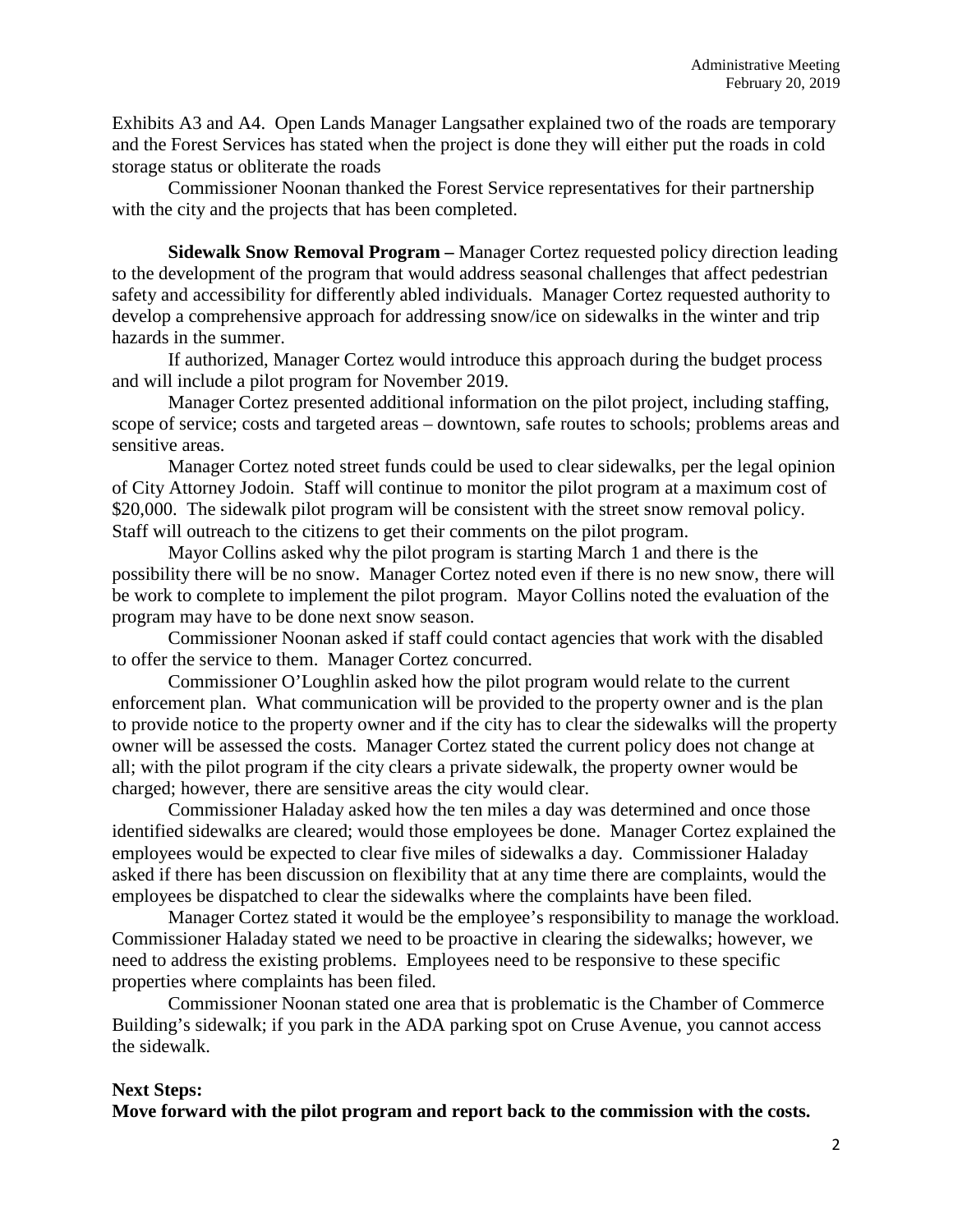Exhibits A3 and A4. Open Lands Manager Langsather explained two of the roads are temporary and the Forest Services has stated when the project is done they will either put the roads in cold storage status or obliterate the roads

Commissioner Noonan thanked the Forest Service representatives for their partnership with the city and the projects that has been completed.

**Sidewalk Snow Removal Program –** Manager Cortez requested policy direction leading to the development of the program that would address seasonal challenges that affect pedestrian safety and accessibility for differently abled individuals. Manager Cortez requested authority to develop a comprehensive approach for addressing snow/ice on sidewalks in the winter and trip hazards in the summer.

If authorized, Manager Cortez would introduce this approach during the budget process and will include a pilot program for November 2019.

Manager Cortez presented additional information on the pilot project, including staffing, scope of service; costs and targeted areas – downtown, safe routes to schools; problems areas and sensitive areas.

Manager Cortez noted street funds could be used to clear sidewalks, per the legal opinion of City Attorney Jodoin. Staff will continue to monitor the pilot program at a maximum cost of \$20,000. The sidewalk pilot program will be consistent with the street snow removal policy. Staff will outreach to the citizens to get their comments on the pilot program.

Mayor Collins asked why the pilot program is starting March 1 and there is the possibility there will be no snow. Manager Cortez noted even if there is no new snow, there will be work to complete to implement the pilot program. Mayor Collins noted the evaluation of the program may have to be done next snow season.

Commissioner Noonan asked if staff could contact agencies that work with the disabled to offer the service to them. Manager Cortez concurred.

Commissioner O'Loughlin asked how the pilot program would relate to the current enforcement plan. What communication will be provided to the property owner and is the plan to provide notice to the property owner and if the city has to clear the sidewalks will the property owner will be assessed the costs. Manager Cortez stated the current policy does not change at all; with the pilot program if the city clears a private sidewalk, the property owner would be charged; however, there are sensitive areas the city would clear.

Commissioner Haladay asked how the ten miles a day was determined and once those identified sidewalks are cleared; would those employees be done. Manager Cortez explained the employees would be expected to clear five miles of sidewalks a day. Commissioner Haladay asked if there has been discussion on flexibility that at any time there are complaints, would the employees be dispatched to clear the sidewalks where the complaints have been filed.

Manager Cortez stated it would be the employee's responsibility to manage the workload. Commissioner Haladay stated we need to be proactive in clearing the sidewalks; however, we need to address the existing problems. Employees need to be responsive to these specific properties where complaints has been filed.

Commissioner Noonan stated one area that is problematic is the Chamber of Commerce Building's sidewalk; if you park in the ADA parking spot on Cruse Avenue, you cannot access the sidewalk.

### **Next Steps:**

**Move forward with the pilot program and report back to the commission with the costs.**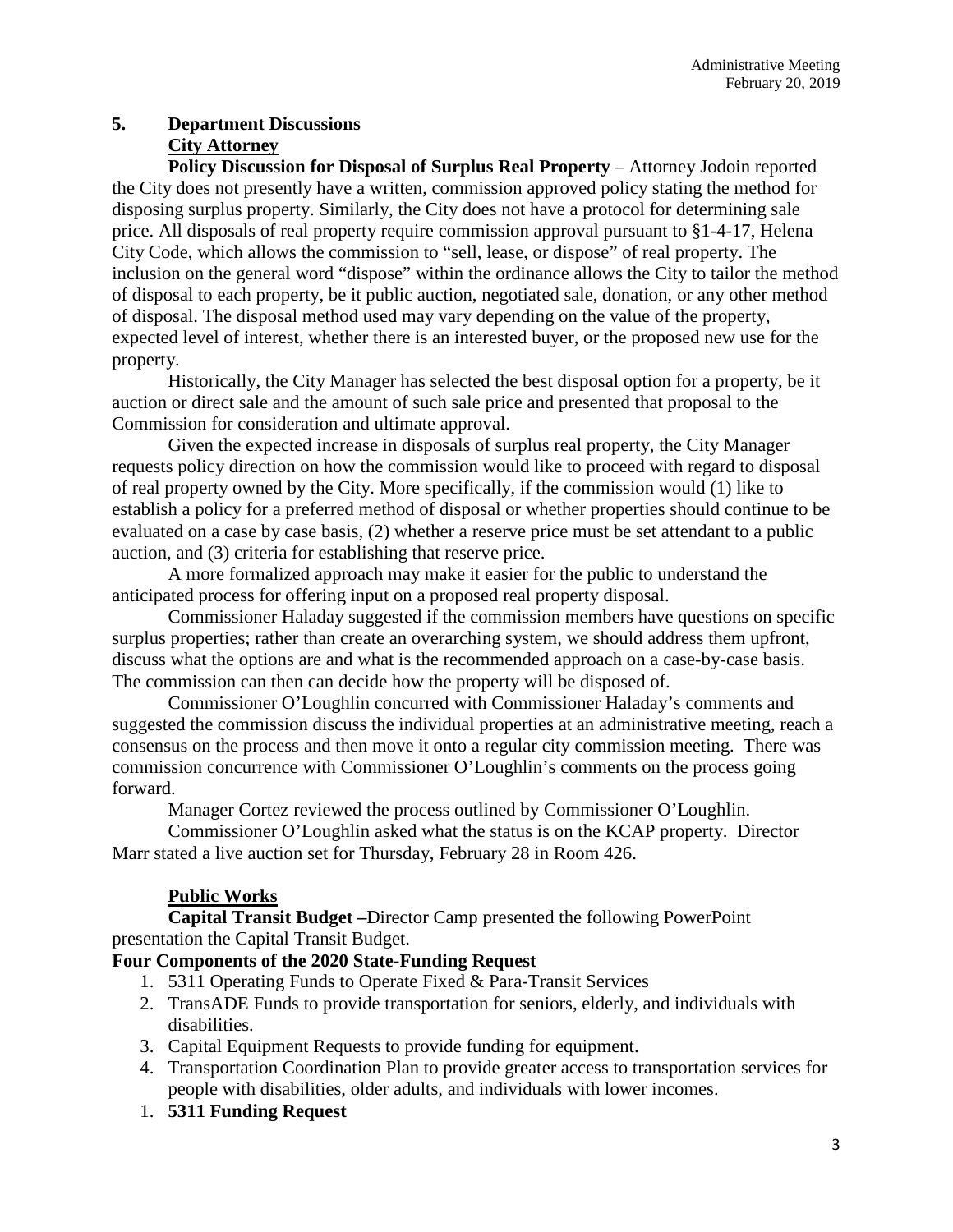## **5. Department Discussions City Attorney**

**Policy Discussion for Disposal of Surplus Real Property** – Attorney Jodoin reported the City does not presently have a written, commission approved policy stating the method for disposing surplus property. Similarly, the City does not have a protocol for determining sale price. All disposals of real property require commission approval pursuant to §1-4-17, Helena City Code, which allows the commission to "sell, lease, or dispose" of real property. The inclusion on the general word "dispose" within the ordinance allows the City to tailor the method of disposal to each property, be it public auction, negotiated sale, donation, or any other method of disposal. The disposal method used may vary depending on the value of the property, expected level of interest, whether there is an interested buyer, or the proposed new use for the property.

Historically, the City Manager has selected the best disposal option for a property, be it auction or direct sale and the amount of such sale price and presented that proposal to the Commission for consideration and ultimate approval.

Given the expected increase in disposals of surplus real property, the City Manager requests policy direction on how the commission would like to proceed with regard to disposal of real property owned by the City. More specifically, if the commission would (1) like to establish a policy for a preferred method of disposal or whether properties should continue to be evaluated on a case by case basis, (2) whether a reserve price must be set attendant to a public auction, and (3) criteria for establishing that reserve price.

A more formalized approach may make it easier for the public to understand the anticipated process for offering input on a proposed real property disposal.

Commissioner Haladay suggested if the commission members have questions on specific surplus properties; rather than create an overarching system, we should address them upfront, discuss what the options are and what is the recommended approach on a case-by-case basis. The commission can then can decide how the property will be disposed of.

Commissioner O'Loughlin concurred with Commissioner Haladay's comments and suggested the commission discuss the individual properties at an administrative meeting, reach a consensus on the process and then move it onto a regular city commission meeting. There was commission concurrence with Commissioner O'Loughlin's comments on the process going forward.

Manager Cortez reviewed the process outlined by Commissioner O'Loughlin.

Commissioner O'Loughlin asked what the status is on the KCAP property. Director Marr stated a live auction set for Thursday, February 28 in Room 426.

## **Public Works**

**Capital Transit Budget –**Director Camp presented the following PowerPoint presentation the Capital Transit Budget.

## **Four Components of the 2020 State-Funding Request**

- 1. 5311 Operating Funds to Operate Fixed & Para-Transit Services
- 2. TransADE Funds to provide transportation for seniors, elderly, and individuals with disabilities.
- 3. Capital Equipment Requests to provide funding for equipment.
- 4. Transportation Coordination Plan to provide greater access to transportation services for people with disabilities, older adults, and individuals with lower incomes.
- 1. **5311 Funding Request**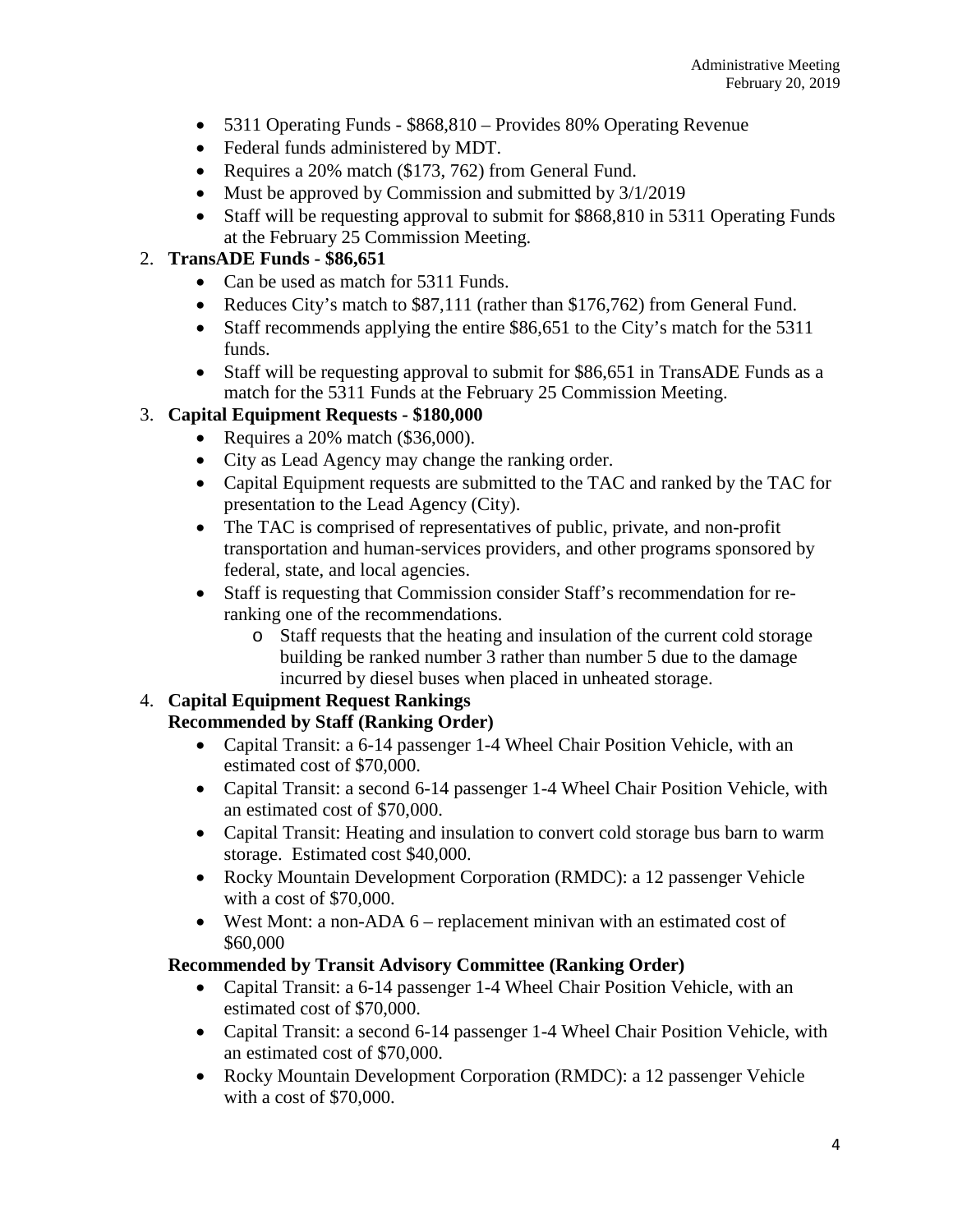- 5311 Operating Funds \$868,810 Provides 80% Operating Revenue
- Federal funds administered by MDT.
- Requires a 20% match (\$173, 762) from General Fund.
- Must be approved by Commission and submitted by  $3/1/2019$
- Staff will be requesting approval to submit for \$868,810 in 5311 Operating Funds at the February 25 Commission Meeting.

## 2. **TransADE Funds - \$86,651**

- Can be used as match for 5311 Funds.
- Reduces City's match to \$87,111 (rather than \$176,762) from General Fund.
- Staff recommends applying the entire \$86,651 to the City's match for the 5311 funds.
- Staff will be requesting approval to submit for \$86,651 in TransADE Funds as a match for the 5311 Funds at the February 25 Commission Meeting.

# 3. **Capital Equipment Requests - \$180,000**

- Requires a 20% match (\$36,000).
- City as Lead Agency may change the ranking order.
- Capital Equipment requests are submitted to the TAC and ranked by the TAC for presentation to the Lead Agency (City).
- The TAC is comprised of representatives of public, private, and non-profit transportation and human-services providers, and other programs sponsored by federal, state, and local agencies.
- Staff is requesting that Commission consider Staff's recommendation for reranking one of the recommendations.
	- o Staff requests that the heating and insulation of the current cold storage building be ranked number 3 rather than number 5 due to the damage incurred by diesel buses when placed in unheated storage.

## 4. **Capital Equipment Request Rankings**

## **Recommended by Staff (Ranking Order)**

- Capital Transit: a 6-14 passenger 1-4 Wheel Chair Position Vehicle, with an estimated cost of \$70,000.
- Capital Transit: a second 6-14 passenger 1-4 Wheel Chair Position Vehicle, with an estimated cost of \$70,000.
- Capital Transit: Heating and insulation to convert cold storage bus barn to warm storage. Estimated cost \$40,000.
- Rocky Mountain Development Corporation (RMDC): a 12 passenger Vehicle with a cost of \$70,000.
- West Mont: a non-ADA 6 replacement minivan with an estimated cost of \$60,000

## **Recommended by Transit Advisory Committee (Ranking Order)**

- Capital Transit: a 6-14 passenger 1-4 Wheel Chair Position Vehicle, with an estimated cost of \$70,000.
- Capital Transit: a second 6-14 passenger 1-4 Wheel Chair Position Vehicle, with an estimated cost of \$70,000.
- Rocky Mountain Development Corporation (RMDC): a 12 passenger Vehicle with a cost of \$70,000.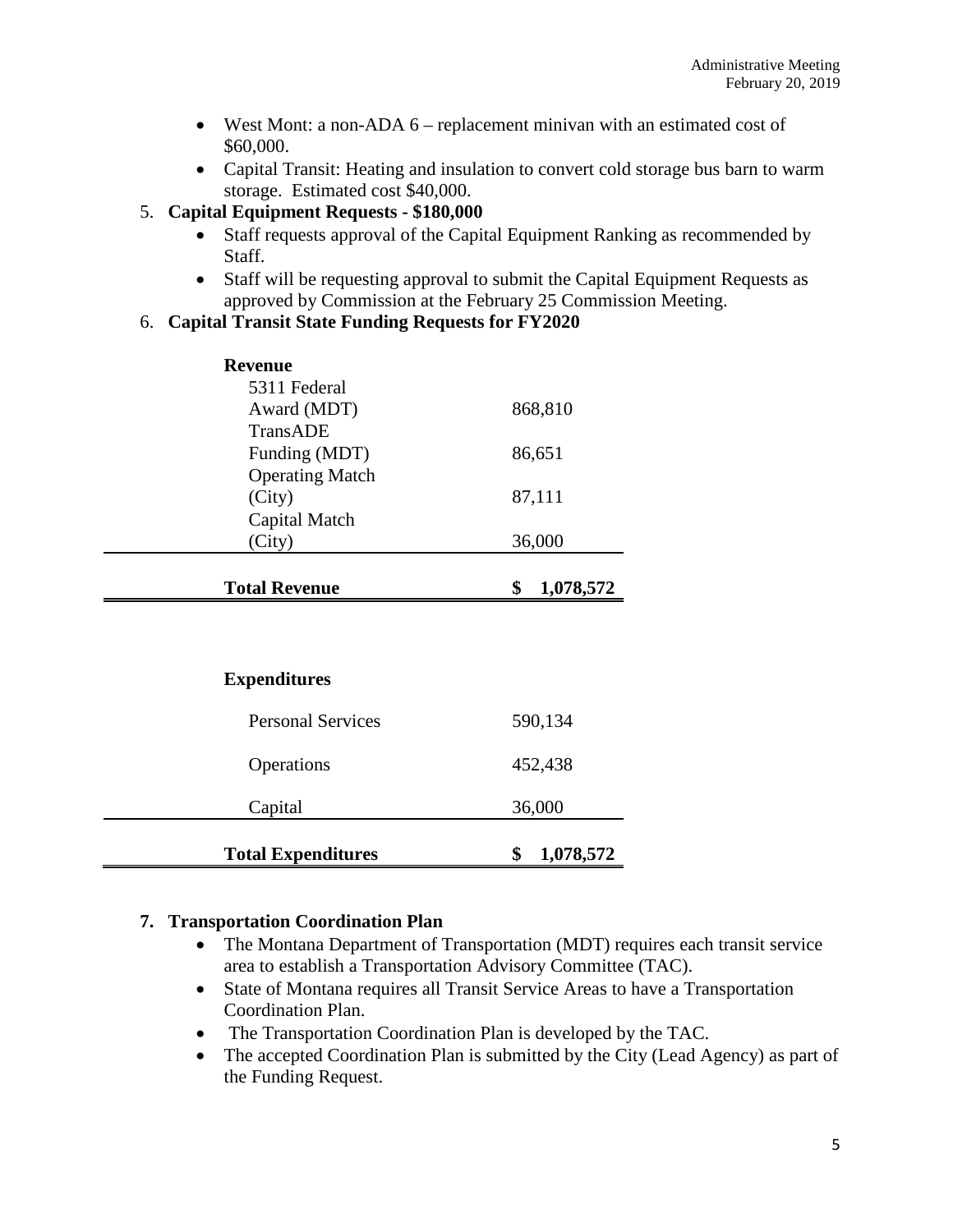- West Mont: a non-ADA 6 replacement minivan with an estimated cost of \$60,000.
- Capital Transit: Heating and insulation to convert cold storage bus barn to warm storage. Estimated cost \$40,000.

## 5. **Capital Equipment Requests - \$180,000**

- Staff requests approval of the Capital Equipment Ranking as recommended by Staff.
- Staff will be requesting approval to submit the Capital Equipment Requests as approved by Commission at the February 25 Commission Meeting.

### 6. **Capital Transit State Funding Requests for FY2020**

| <b>Revenue</b>         |                 |
|------------------------|-----------------|
| 5311 Federal           |                 |
| Award (MDT)            | 868,810         |
| TransADE               |                 |
| Funding (MDT)          | 86,651          |
| <b>Operating Match</b> |                 |
| (City)                 | 87,111          |
| Capital Match          |                 |
| (City)                 | 36,000          |
|                        |                 |
| <b>Total Revenue</b>   | \$<br>1,078,572 |

## **Expenditures**

| <b>Total Expenditures</b> | 1,078,572 |
|---------------------------|-----------|
| Capital                   | 36,000    |
| Operations                | 452,438   |
| <b>Personal Services</b>  | 590,134   |

## **7. Transportation Coordination Plan**

- The Montana Department of Transportation (MDT) requires each transit service area to establish a Transportation Advisory Committee (TAC).
- State of Montana requires all Transit Service Areas to have a Transportation Coordination Plan.
- The Transportation Coordination Plan is developed by the TAC.
- The accepted Coordination Plan is submitted by the City (Lead Agency) as part of the Funding Request.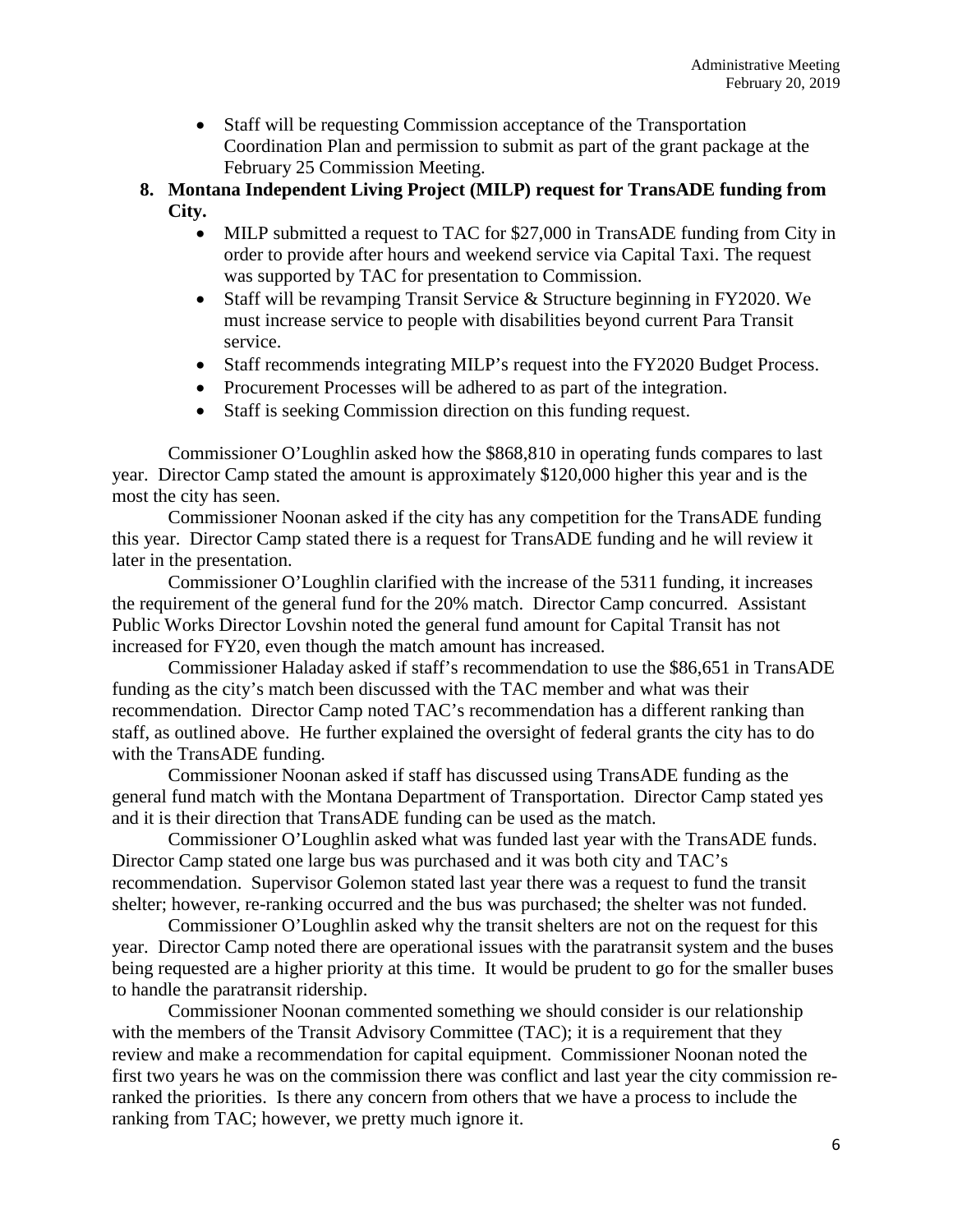- Staff will be requesting Commission acceptance of the Transportation Coordination Plan and permission to submit as part of the grant package at the February 25 Commission Meeting.
- **8. Montana Independent Living Project (MILP) request for TransADE funding from City.**
	- MILP submitted a request to TAC for \$27,000 in TransADE funding from City in order to provide after hours and weekend service via Capital Taxi. The request was supported by TAC for presentation to Commission.
	- Staff will be revamping Transit Service & Structure beginning in FY2020. We must increase service to people with disabilities beyond current Para Transit service.
	- Staff recommends integrating MILP's request into the FY2020 Budget Process.
	- Procurement Processes will be adhered to as part of the integration.
	- Staff is seeking Commission direction on this funding request.

Commissioner O'Loughlin asked how the \$868,810 in operating funds compares to last year. Director Camp stated the amount is approximately \$120,000 higher this year and is the most the city has seen.

Commissioner Noonan asked if the city has any competition for the TransADE funding this year. Director Camp stated there is a request for TransADE funding and he will review it later in the presentation.

Commissioner O'Loughlin clarified with the increase of the 5311 funding, it increases the requirement of the general fund for the 20% match. Director Camp concurred. Assistant Public Works Director Lovshin noted the general fund amount for Capital Transit has not increased for FY20, even though the match amount has increased.

Commissioner Haladay asked if staff's recommendation to use the \$86,651 in TransADE funding as the city's match been discussed with the TAC member and what was their recommendation. Director Camp noted TAC's recommendation has a different ranking than staff, as outlined above. He further explained the oversight of federal grants the city has to do with the TransADE funding.

Commissioner Noonan asked if staff has discussed using TransADE funding as the general fund match with the Montana Department of Transportation. Director Camp stated yes and it is their direction that TransADE funding can be used as the match.

Commissioner O'Loughlin asked what was funded last year with the TransADE funds. Director Camp stated one large bus was purchased and it was both city and TAC's recommendation. Supervisor Golemon stated last year there was a request to fund the transit shelter; however, re-ranking occurred and the bus was purchased; the shelter was not funded.

Commissioner O'Loughlin asked why the transit shelters are not on the request for this year. Director Camp noted there are operational issues with the paratransit system and the buses being requested are a higher priority at this time. It would be prudent to go for the smaller buses to handle the paratransit ridership.

Commissioner Noonan commented something we should consider is our relationship with the members of the Transit Advisory Committee (TAC); it is a requirement that they review and make a recommendation for capital equipment. Commissioner Noonan noted the first two years he was on the commission there was conflict and last year the city commission reranked the priorities. Is there any concern from others that we have a process to include the ranking from TAC; however, we pretty much ignore it.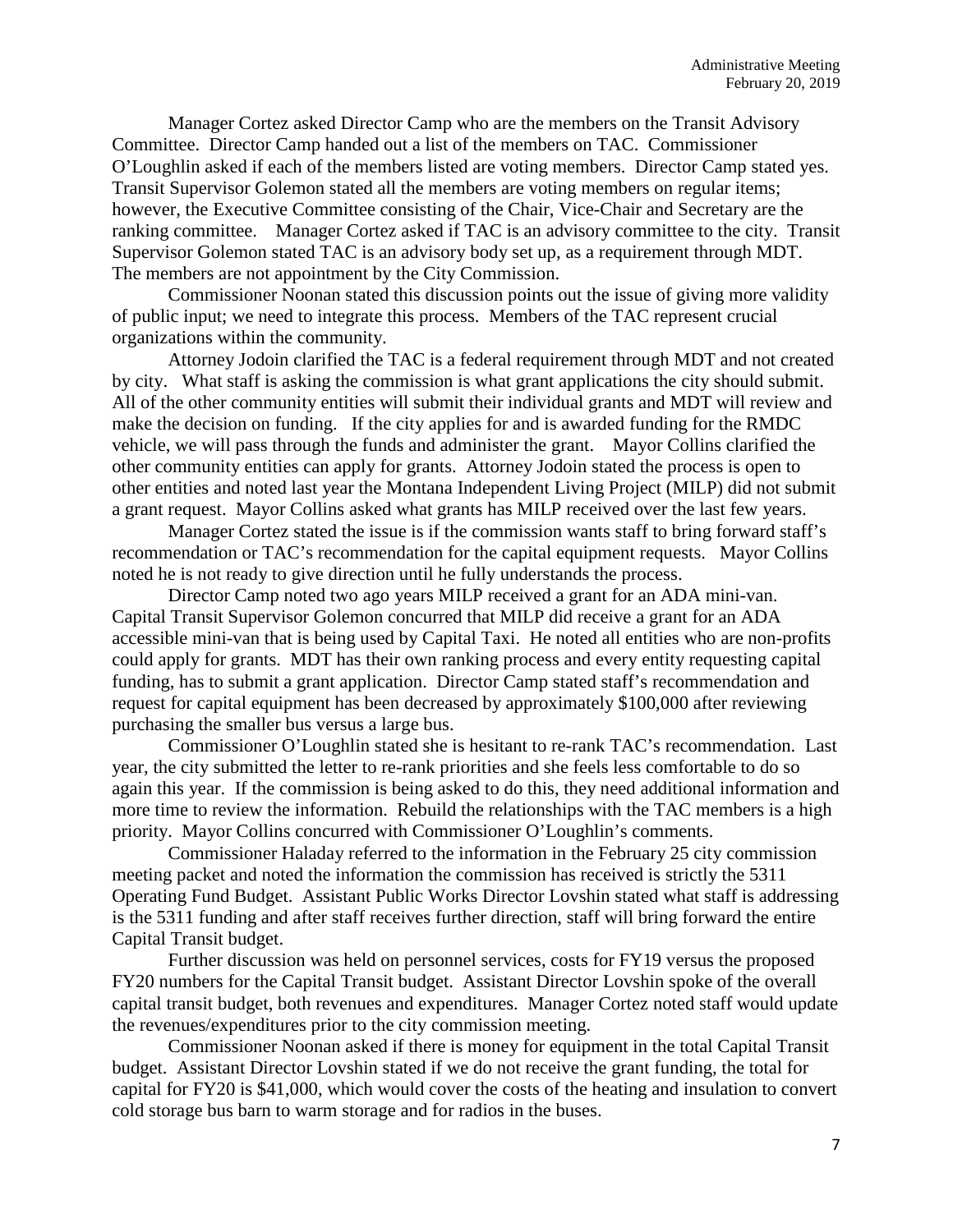Manager Cortez asked Director Camp who are the members on the Transit Advisory Committee. Director Camp handed out a list of the members on TAC. Commissioner O'Loughlin asked if each of the members listed are voting members. Director Camp stated yes. Transit Supervisor Golemon stated all the members are voting members on regular items; however, the Executive Committee consisting of the Chair, Vice-Chair and Secretary are the ranking committee. Manager Cortez asked if TAC is an advisory committee to the city. Transit Supervisor Golemon stated TAC is an advisory body set up, as a requirement through MDT. The members are not appointment by the City Commission.

Commissioner Noonan stated this discussion points out the issue of giving more validity of public input; we need to integrate this process. Members of the TAC represent crucial organizations within the community.

Attorney Jodoin clarified the TAC is a federal requirement through MDT and not created by city. What staff is asking the commission is what grant applications the city should submit. All of the other community entities will submit their individual grants and MDT will review and make the decision on funding. If the city applies for and is awarded funding for the RMDC vehicle, we will pass through the funds and administer the grant. Mayor Collins clarified the other community entities can apply for grants. Attorney Jodoin stated the process is open to other entities and noted last year the Montana Independent Living Project (MILP) did not submit a grant request. Mayor Collins asked what grants has MILP received over the last few years.

Manager Cortez stated the issue is if the commission wants staff to bring forward staff's recommendation or TAC's recommendation for the capital equipment requests. Mayor Collins noted he is not ready to give direction until he fully understands the process.

Director Camp noted two ago years MILP received a grant for an ADA mini-van. Capital Transit Supervisor Golemon concurred that MILP did receive a grant for an ADA accessible mini-van that is being used by Capital Taxi. He noted all entities who are non-profits could apply for grants. MDT has their own ranking process and every entity requesting capital funding, has to submit a grant application. Director Camp stated staff's recommendation and request for capital equipment has been decreased by approximately \$100,000 after reviewing purchasing the smaller bus versus a large bus.

Commissioner O'Loughlin stated she is hesitant to re-rank TAC's recommendation. Last year, the city submitted the letter to re-rank priorities and she feels less comfortable to do so again this year. If the commission is being asked to do this, they need additional information and more time to review the information. Rebuild the relationships with the TAC members is a high priority. Mayor Collins concurred with Commissioner O'Loughlin's comments.

Commissioner Haladay referred to the information in the February 25 city commission meeting packet and noted the information the commission has received is strictly the 5311 Operating Fund Budget. Assistant Public Works Director Lovshin stated what staff is addressing is the 5311 funding and after staff receives further direction, staff will bring forward the entire Capital Transit budget.

Further discussion was held on personnel services, costs for FY19 versus the proposed FY20 numbers for the Capital Transit budget. Assistant Director Lovshin spoke of the overall capital transit budget, both revenues and expenditures. Manager Cortez noted staff would update the revenues/expenditures prior to the city commission meeting.

Commissioner Noonan asked if there is money for equipment in the total Capital Transit budget. Assistant Director Lovshin stated if we do not receive the grant funding, the total for capital for FY20 is \$41,000, which would cover the costs of the heating and insulation to convert cold storage bus barn to warm storage and for radios in the buses.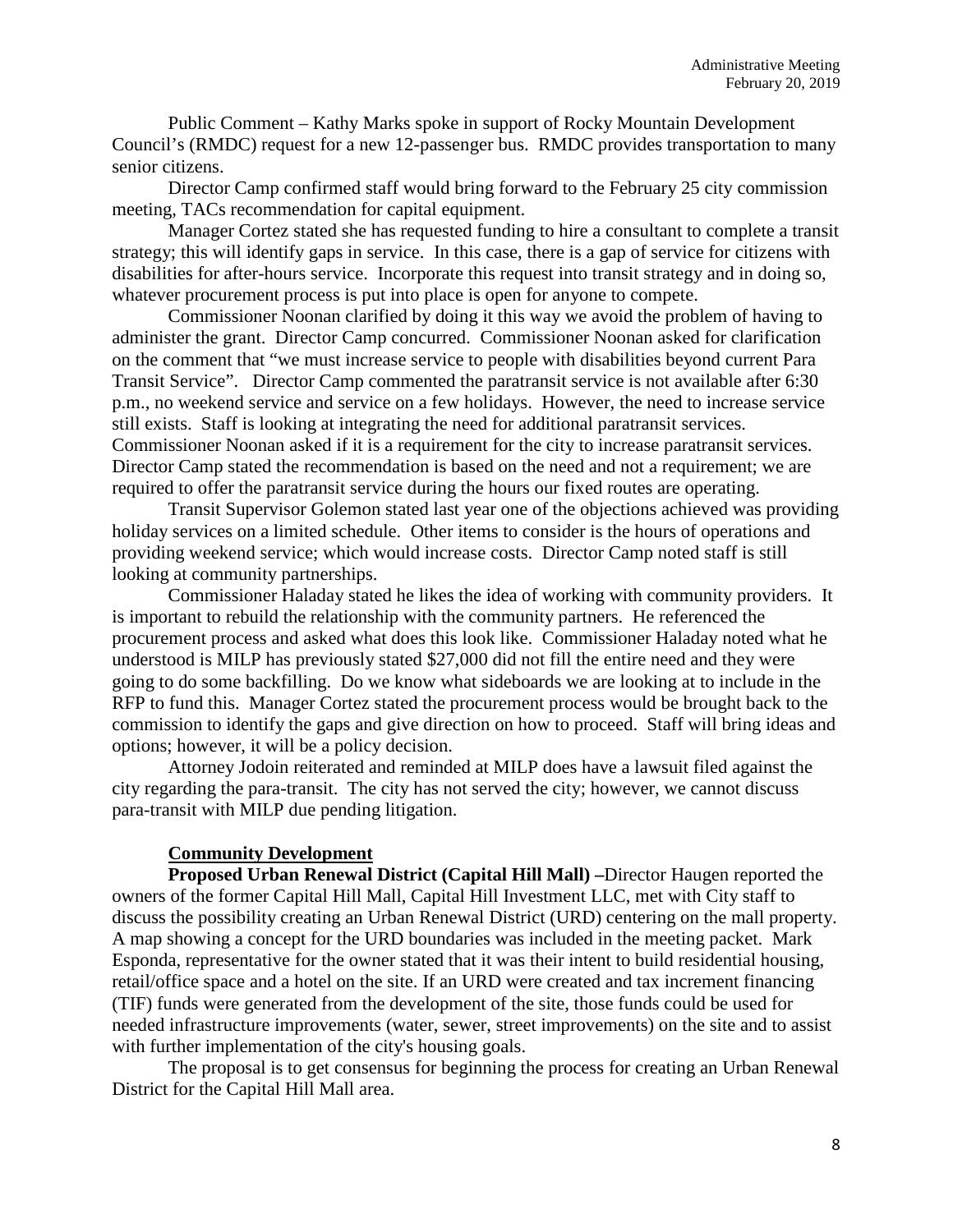Public Comment – Kathy Marks spoke in support of Rocky Mountain Development Council's (RMDC) request for a new 12-passenger bus. RMDC provides transportation to many senior citizens.

Director Camp confirmed staff would bring forward to the February 25 city commission meeting, TACs recommendation for capital equipment.

Manager Cortez stated she has requested funding to hire a consultant to complete a transit strategy; this will identify gaps in service. In this case, there is a gap of service for citizens with disabilities for after-hours service. Incorporate this request into transit strategy and in doing so, whatever procurement process is put into place is open for anyone to compete.

Commissioner Noonan clarified by doing it this way we avoid the problem of having to administer the grant. Director Camp concurred. Commissioner Noonan asked for clarification on the comment that "we must increase service to people with disabilities beyond current Para Transit Service". Director Camp commented the paratransit service is not available after 6:30 p.m., no weekend service and service on a few holidays. However, the need to increase service still exists. Staff is looking at integrating the need for additional paratransit services. Commissioner Noonan asked if it is a requirement for the city to increase paratransit services. Director Camp stated the recommendation is based on the need and not a requirement; we are required to offer the paratransit service during the hours our fixed routes are operating.

Transit Supervisor Golemon stated last year one of the objections achieved was providing holiday services on a limited schedule. Other items to consider is the hours of operations and providing weekend service; which would increase costs. Director Camp noted staff is still looking at community partnerships.

Commissioner Haladay stated he likes the idea of working with community providers. It is important to rebuild the relationship with the community partners. He referenced the procurement process and asked what does this look like. Commissioner Haladay noted what he understood is MILP has previously stated \$27,000 did not fill the entire need and they were going to do some backfilling. Do we know what sideboards we are looking at to include in the RFP to fund this. Manager Cortez stated the procurement process would be brought back to the commission to identify the gaps and give direction on how to proceed. Staff will bring ideas and options; however, it will be a policy decision.

Attorney Jodoin reiterated and reminded at MILP does have a lawsuit filed against the city regarding the para-transit. The city has not served the city; however, we cannot discuss para-transit with MILP due pending litigation.

### **Community Development**

**Proposed Urban Renewal District (Capital Hill Mall) –**Director Haugen reported the owners of the former Capital Hill Mall, Capital Hill Investment LLC, met with City staff to discuss the possibility creating an Urban Renewal District (URD) centering on the mall property. A map showing a concept for the URD boundaries was included in the meeting packet. Mark Esponda, representative for the owner stated that it was their intent to build residential housing, retail/office space and a hotel on the site. If an URD were created and tax increment financing (TIF) funds were generated from the development of the site, those funds could be used for needed infrastructure improvements (water, sewer, street improvements) on the site and to assist with further implementation of the city's housing goals.

The proposal is to get consensus for beginning the process for creating an Urban Renewal District for the Capital Hill Mall area.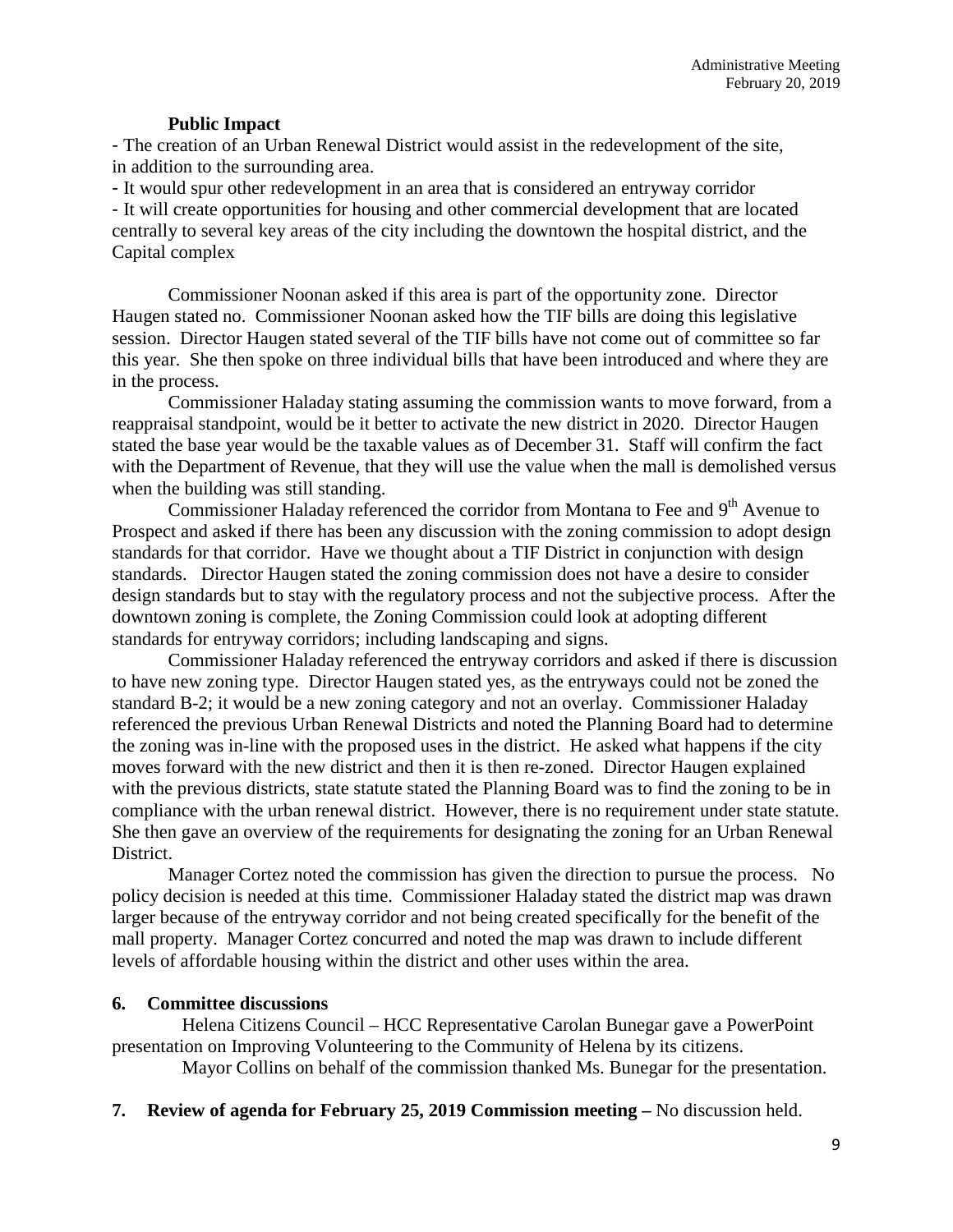### **Public Impact**

- The creation of an Urban Renewal District would assist in the redevelopment of the site, in addition to the surrounding area.

- It would spur other redevelopment in an area that is considered an entryway corridor - It will create opportunities for housing and other commercial development that are located centrally to several key areas of the city including the downtown the hospital district, and the Capital complex

Commissioner Noonan asked if this area is part of the opportunity zone. Director Haugen stated no. Commissioner Noonan asked how the TIF bills are doing this legislative session. Director Haugen stated several of the TIF bills have not come out of committee so far this year. She then spoke on three individual bills that have been introduced and where they are in the process.

Commissioner Haladay stating assuming the commission wants to move forward, from a reappraisal standpoint, would be it better to activate the new district in 2020. Director Haugen stated the base year would be the taxable values as of December 31. Staff will confirm the fact with the Department of Revenue, that they will use the value when the mall is demolished versus when the building was still standing.

Commissioner Haladay referenced the corridor from Montana to Fee and 9<sup>th</sup> Avenue to Prospect and asked if there has been any discussion with the zoning commission to adopt design standards for that corridor. Have we thought about a TIF District in conjunction with design standards. Director Haugen stated the zoning commission does not have a desire to consider design standards but to stay with the regulatory process and not the subjective process. After the downtown zoning is complete, the Zoning Commission could look at adopting different standards for entryway corridors; including landscaping and signs.

Commissioner Haladay referenced the entryway corridors and asked if there is discussion to have new zoning type. Director Haugen stated yes, as the entryways could not be zoned the standard B-2; it would be a new zoning category and not an overlay. Commissioner Haladay referenced the previous Urban Renewal Districts and noted the Planning Board had to determine the zoning was in-line with the proposed uses in the district. He asked what happens if the city moves forward with the new district and then it is then re-zoned. Director Haugen explained with the previous districts, state statute stated the Planning Board was to find the zoning to be in compliance with the urban renewal district. However, there is no requirement under state statute. She then gave an overview of the requirements for designating the zoning for an Urban Renewal District.

Manager Cortez noted the commission has given the direction to pursue the process. No policy decision is needed at this time. Commissioner Haladay stated the district map was drawn larger because of the entryway corridor and not being created specifically for the benefit of the mall property. Manager Cortez concurred and noted the map was drawn to include different levels of affordable housing within the district and other uses within the area.

#### **6. Committee discussions**

Helena Citizens Council – HCC Representative Carolan Bunegar gave a PowerPoint presentation on Improving Volunteering to the Community of Helena by its citizens. Mayor Collins on behalf of the commission thanked Ms. Bunegar for the presentation.

**7. Review of agenda for February 25, 2019 Commission meeting –** No discussion held.